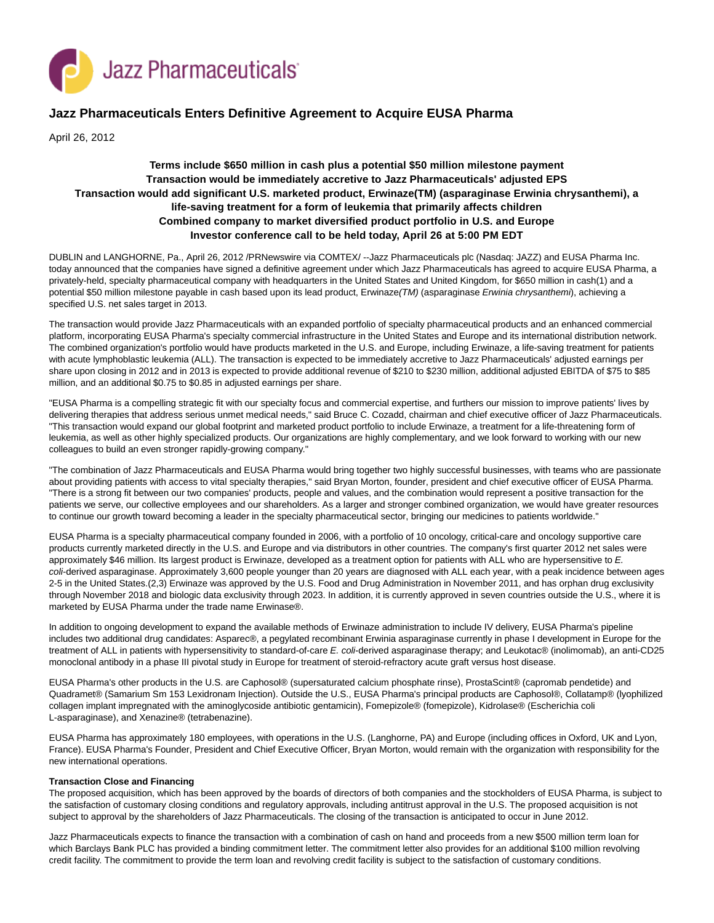

# **Jazz Pharmaceuticals Enters Definitive Agreement to Acquire EUSA Pharma**

April 26, 2012

## **Terms include \$650 million in cash plus a potential \$50 million milestone payment Transaction would be immediately accretive to Jazz Pharmaceuticals' adjusted EPS Transaction would add significant U.S. marketed product, Erwinaze(TM) (asparaginase Erwinia chrysanthemi), a life-saving treatment for a form of leukemia that primarily affects children Combined company to market diversified product portfolio in U.S. and Europe Investor conference call to be held today, April 26 at 5:00 PM EDT**

DUBLIN and LANGHORNE, Pa., April 26, 2012 /PRNewswire via COMTEX/ --Jazz Pharmaceuticals plc (Nasdaq: JAZZ) and EUSA Pharma Inc. today announced that the companies have signed a definitive agreement under which Jazz Pharmaceuticals has agreed to acquire EUSA Pharma, a privately-held, specialty pharmaceutical company with headquarters in the United States and United Kingdom, for \$650 million in cash(1) and a potential \$50 million milestone payable in cash based upon its lead product, Erwinaze(TM) (asparaginase Erwinia chrysanthemi), achieving a specified U.S. net sales target in 2013.

The transaction would provide Jazz Pharmaceuticals with an expanded portfolio of specialty pharmaceutical products and an enhanced commercial platform, incorporating EUSA Pharma's specialty commercial infrastructure in the United States and Europe and its international distribution network. The combined organization's portfolio would have products marketed in the U.S. and Europe, including Erwinaze, a life-saving treatment for patients with acute lymphoblastic leukemia (ALL). The transaction is expected to be immediately accretive to Jazz Pharmaceuticals' adjusted earnings per share upon closing in 2012 and in 2013 is expected to provide additional revenue of \$210 to \$230 million, additional adjusted EBITDA of \$75 to \$85 million, and an additional \$0.75 to \$0.85 in adjusted earnings per share.

"EUSA Pharma is a compelling strategic fit with our specialty focus and commercial expertise, and furthers our mission to improve patients' lives by delivering therapies that address serious unmet medical needs," said Bruce C. Cozadd, chairman and chief executive officer of Jazz Pharmaceuticals. "This transaction would expand our global footprint and marketed product portfolio to include Erwinaze, a treatment for a life-threatening form of leukemia, as well as other highly specialized products. Our organizations are highly complementary, and we look forward to working with our new colleagues to build an even stronger rapidly-growing company."

"The combination of Jazz Pharmaceuticals and EUSA Pharma would bring together two highly successful businesses, with teams who are passionate about providing patients with access to vital specialty therapies," said Bryan Morton, founder, president and chief executive officer of EUSA Pharma. "There is a strong fit between our two companies' products, people and values, and the combination would represent a positive transaction for the patients we serve, our collective employees and our shareholders. As a larger and stronger combined organization, we would have greater resources to continue our growth toward becoming a leader in the specialty pharmaceutical sector, bringing our medicines to patients worldwide."

EUSA Pharma is a specialty pharmaceutical company founded in 2006, with a portfolio of 10 oncology, critical-care and oncology supportive care products currently marketed directly in the U.S. and Europe and via distributors in other countries. The company's first quarter 2012 net sales were approximately \$46 million. Its largest product is Erwinaze, developed as a treatment option for patients with ALL who are hypersensitive to E. coli-derived asparaginase. Approximately 3,600 people younger than 20 years are diagnosed with ALL each year, with a peak incidence between ages 2-5 in the United States.(2,3) Erwinaze was approved by the U.S. Food and Drug Administration in November 2011, and has orphan drug exclusivity through November 2018 and biologic data exclusivity through 2023. In addition, it is currently approved in seven countries outside the U.S., where it is marketed by EUSA Pharma under the trade name Erwinase®.

In addition to ongoing development to expand the available methods of Erwinaze administration to include IV delivery, EUSA Pharma's pipeline includes two additional drug candidates: Asparec®, a pegylated recombinant Erwinia asparaginase currently in phase I development in Europe for the treatment of ALL in patients with hypersensitivity to standard-of-care E. coli-derived asparaginase therapy; and Leukotac® (inolimomab), an anti-CD25 monoclonal antibody in a phase III pivotal study in Europe for treatment of steroid-refractory acute graft versus host disease.

EUSA Pharma's other products in the U.S. are Caphosol® (supersaturated calcium phosphate rinse), ProstaScint® (capromab pendetide) and Quadramet® (Samarium Sm 153 Lexidronam Injection). Outside the U.S., EUSA Pharma's principal products are Caphosol®, Collatamp® (lyophilized collagen implant impregnated with the aminoglycoside antibiotic gentamicin), Fomepizole® (fomepizole), Kidrolase® (Escherichia coli L-asparaginase), and Xenazine® (tetrabenazine).

EUSA Pharma has approximately 180 employees, with operations in the U.S. (Langhorne, PA) and Europe (including offices in Oxford, UK and Lyon, France). EUSA Pharma's Founder, President and Chief Executive Officer, Bryan Morton, would remain with the organization with responsibility for the new international operations.

## **Transaction Close and Financing**

The proposed acquisition, which has been approved by the boards of directors of both companies and the stockholders of EUSA Pharma, is subject to the satisfaction of customary closing conditions and regulatory approvals, including antitrust approval in the U.S. The proposed acquisition is not subject to approval by the shareholders of Jazz Pharmaceuticals. The closing of the transaction is anticipated to occur in June 2012.

Jazz Pharmaceuticals expects to finance the transaction with a combination of cash on hand and proceeds from a new \$500 million term loan for which Barclays Bank PLC has provided a binding commitment letter. The commitment letter also provides for an additional \$100 million revolving credit facility. The commitment to provide the term loan and revolving credit facility is subject to the satisfaction of customary conditions.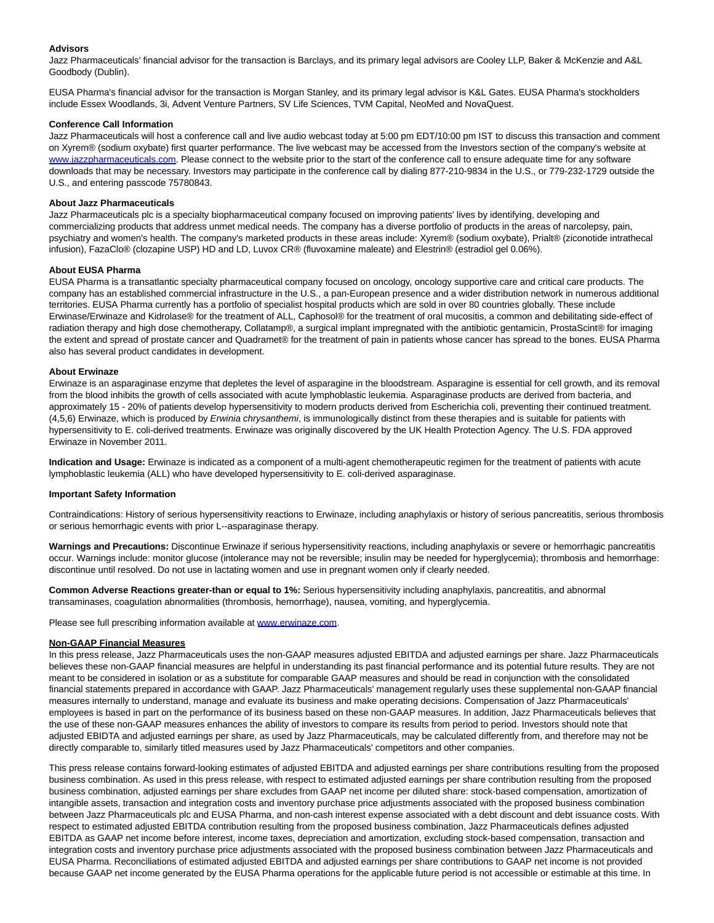## **Advisors**

Jazz Pharmaceuticals' financial advisor for the transaction is Barclays, and its primary legal advisors are Cooley LLP, Baker & McKenzie and A&L Goodbody (Dublin).

EUSA Pharma's financial advisor for the transaction is Morgan Stanley, and its primary legal advisor is K&L Gates. EUSA Pharma's stockholders include Essex Woodlands, 3i, Advent Venture Partners, SV Life Sciences, TVM Capital, NeoMed and NovaQuest.

## **Conference Call Information**

Jazz Pharmaceuticals will host a conference call and live audio webcast today at 5:00 pm EDT/10:00 pm IST to discuss this transaction and comment on Xyrem® (sodium oxybate) first quarter performance. The live webcast may be accessed from the Investors section of the company's website at [www.jazzpharmaceuticals.com.](http://www.jazzpharmaceuticals.com/) Please connect to the website prior to the start of the conference call to ensure adequate time for any software downloads that may be necessary. Investors may participate in the conference call by dialing 877-210-9834 in the U.S., or 779-232-1729 outside the U.S., and entering passcode 75780843.

## **About Jazz Pharmaceuticals**

Jazz Pharmaceuticals plc is a specialty biopharmaceutical company focused on improving patients' lives by identifying, developing and commercializing products that address unmet medical needs. The company has a diverse portfolio of products in the areas of narcolepsy, pain, psychiatry and women's health. The company's marketed products in these areas include: Xyrem® (sodium oxybate), Prialt® (ziconotide intrathecal infusion), FazaClo® (clozapine USP) HD and LD, Luvox CR® (fluvoxamine maleate) and Elestrin® (estradiol gel 0.06%).

#### **About EUSA Pharma**

EUSA Pharma is a transatlantic specialty pharmaceutical company focused on oncology, oncology supportive care and critical care products. The company has an established commercial infrastructure in the U.S., a pan-European presence and a wider distribution network in numerous additional territories. EUSA Pharma currently has a portfolio of specialist hospital products which are sold in over 80 countries globally. These include Erwinase/Erwinaze and Kidrolase® for the treatment of ALL, Caphosol® for the treatment of oral mucositis, a common and debilitating side-effect of radiation therapy and high dose chemotherapy, Collatamp®, a surgical implant impregnated with the antibiotic gentamicin, ProstaScint® for imaging the extent and spread of prostate cancer and Quadramet® for the treatment of pain in patients whose cancer has spread to the bones. EUSA Pharma also has several product candidates in development.

#### **About Erwinaze**

Erwinaze is an asparaginase enzyme that depletes the level of asparagine in the bloodstream. Asparagine is essential for cell growth, and its removal from the blood inhibits the growth of cells associated with acute lymphoblastic leukemia. Asparaginase products are derived from bacteria, and approximately 15 - 20% of patients develop hypersensitivity to modern products derived from Escherichia coli, preventing their continued treatment. (4,5,6) Erwinaze, which is produced by Erwinia chrysanthemi, is immunologically distinct from these therapies and is suitable for patients with hypersensitivity to E. coli-derived treatments. Erwinaze was originally discovered by the UK Health Protection Agency. The U.S. FDA approved Erwinaze in November 2011.

**Indication and Usage:** Erwinaze is indicated as a component of a multi-agent chemotherapeutic regimen for the treatment of patients with acute lymphoblastic leukemia (ALL) who have developed hypersensitivity to E. coli-derived asparaginase.

#### **Important Safety Information**

Contraindications: History of serious hypersensitivity reactions to Erwinaze, including anaphylaxis or history of serious pancreatitis, serious thrombosis or serious hemorrhagic events with prior L--asparaginase therapy.

**Warnings and Precautions:** Discontinue Erwinaze if serious hypersensitivity reactions, including anaphylaxis or severe or hemorrhagic pancreatitis occur. Warnings include: monitor glucose (intolerance may not be reversible; insulin may be needed for hyperglycemia); thrombosis and hemorrhage: discontinue until resolved. Do not use in lactating women and use in pregnant women only if clearly needed.

**Common Adverse Reactions greater-than or equal to 1%:** Serious hypersensitivity including anaphylaxis, pancreatitis, and abnormal transaminases, coagulation abnormalities (thrombosis, hemorrhage), nausea, vomiting, and hyperglycemia.

Please see full prescribing information available at [www.erwinaze.com.](http://www.erwinaze.com/)

#### **Non-GAAP Financial Measures**

In this press release, Jazz Pharmaceuticals uses the non-GAAP measures adjusted EBITDA and adjusted earnings per share. Jazz Pharmaceuticals believes these non-GAAP financial measures are helpful in understanding its past financial performance and its potential future results. They are not meant to be considered in isolation or as a substitute for comparable GAAP measures and should be read in conjunction with the consolidated financial statements prepared in accordance with GAAP. Jazz Pharmaceuticals' management regularly uses these supplemental non-GAAP financial measures internally to understand, manage and evaluate its business and make operating decisions. Compensation of Jazz Pharmaceuticals' employees is based in part on the performance of its business based on these non-GAAP measures. In addition, Jazz Pharmaceuticals believes that the use of these non-GAAP measures enhances the ability of investors to compare its results from period to period. Investors should note that adjusted EBIDTA and adjusted earnings per share, as used by Jazz Pharmaceuticals, may be calculated differently from, and therefore may not be directly comparable to, similarly titled measures used by Jazz Pharmaceuticals' competitors and other companies.

This press release contains forward-looking estimates of adjusted EBITDA and adjusted earnings per share contributions resulting from the proposed business combination. As used in this press release, with respect to estimated adjusted earnings per share contribution resulting from the proposed business combination, adjusted earnings per share excludes from GAAP net income per diluted share: stock-based compensation, amortization of intangible assets, transaction and integration costs and inventory purchase price adjustments associated with the proposed business combination between Jazz Pharmaceuticals plc and EUSA Pharma, and non-cash interest expense associated with a debt discount and debt issuance costs. With respect to estimated adjusted EBITDA contribution resulting from the proposed business combination, Jazz Pharmaceuticals defines adjusted EBITDA as GAAP net income before interest, income taxes, depreciation and amortization, excluding stock-based compensation, transaction and integration costs and inventory purchase price adjustments associated with the proposed business combination between Jazz Pharmaceuticals and EUSA Pharma. Reconciliations of estimated adjusted EBITDA and adjusted earnings per share contributions to GAAP net income is not provided because GAAP net income generated by the EUSA Pharma operations for the applicable future period is not accessible or estimable at this time. In